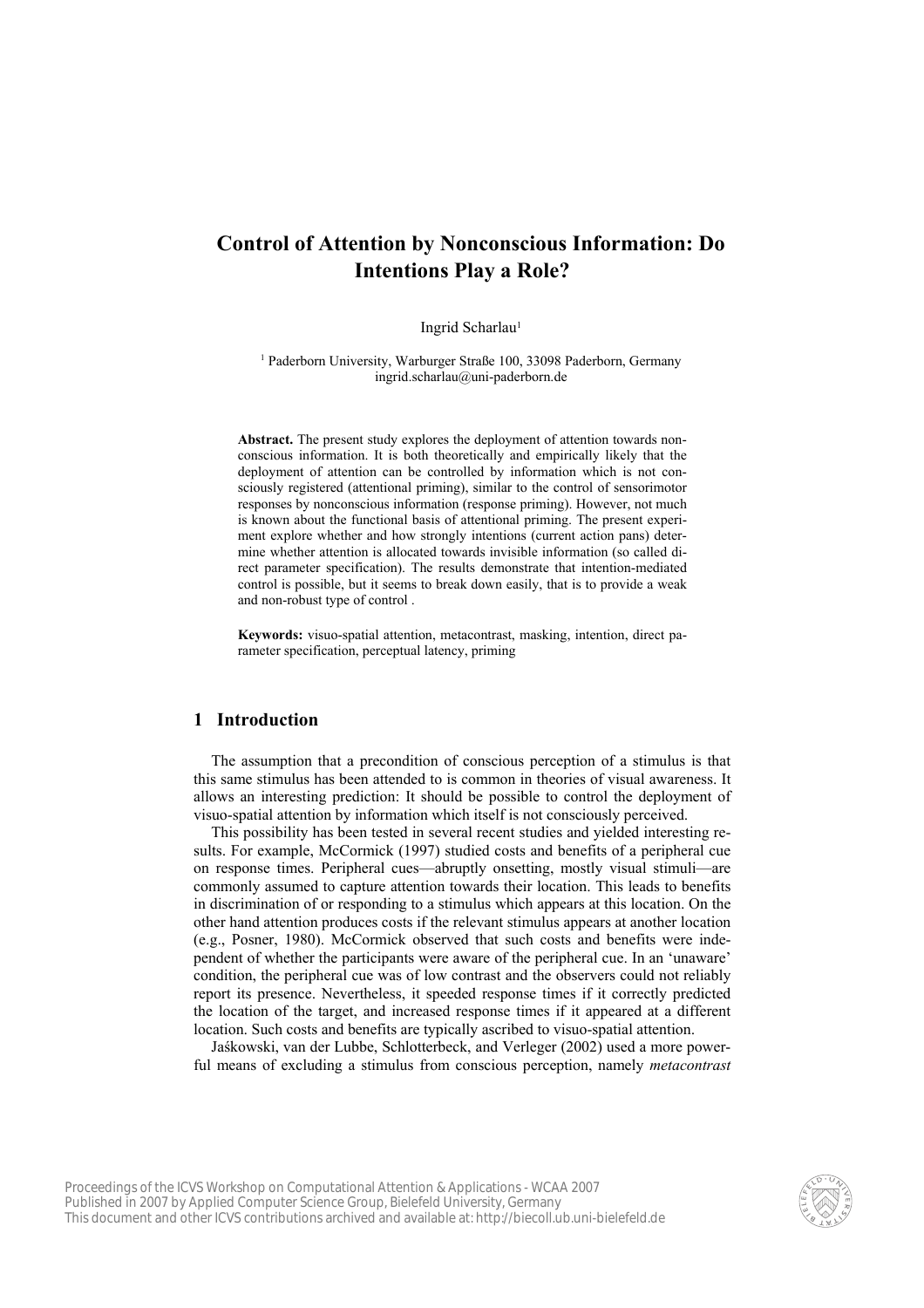# **Control of Attention by Nonconscious Information: Do Intentions Play a Role?**

#### Ingrid Scharlau<sup>1</sup>

<sup>1</sup> Paderborn University, Warburger Straße 100, 33098 Paderborn, Germany ingrid.scharlau@uni-paderborn.de

**Abstract.** The present study explores the deployment of attention towards nonconscious information. It is both theoretically and empirically likely that the deployment of attention can be controlled by information which is not consciously registered (attentional priming), similar to the control of sensorimotor responses by nonconscious information (response priming). However, not much is known about the functional basis of attentional priming. The present experiment explore whether and how strongly intentions (current action pans) determine whether attention is allocated towards invisible information (so called direct parameter specification). The results demonstrate that intention-mediated control is possible, but it seems to break down easily, that is to provide a weak and non-robust type of control .

**Keywords:** visuo-spatial attention, metacontrast, masking, intention, direct parameter specification, perceptual latency, priming

### **1 Introduction**

The assumption that a precondition of conscious perception of a stimulus is that this same stimulus has been attended to is common in theories of visual awareness. It allows an interesting prediction: It should be possible to control the deployment of visuo-spatial attention by information which itself is not consciously perceived.

This possibility has been tested in several recent studies and yielded interesting results. For example, McCormick (1997) studied costs and benefits of a peripheral cue on response times. Peripheral cues—abruptly onsetting, mostly visual stimuli—are commonly assumed to capture attention towards their location. This leads to benefits in discrimination of or responding to a stimulus which appears at this location. On the other hand attention produces costs if the relevant stimulus appears at another location (e.g., Posner, 1980). McCormick observed that such costs and benefits were independent of whether the participants were aware of the peripheral cue. In an 'unaware' condition, the peripheral cue was of low contrast and the observers could not reliably report its presence. Nevertheless, it speeded response times if it correctly predicted the location of the target, and increased response times if it appeared at a different location. Such costs and benefits are typically ascribed to visuo-spatial attention.

Jaśkowski, van der Lubbe, Schlotterbeck, and Verleger (2002) used a more powerful means of excluding a stimulus from conscious perception, namely *metacontrast* 

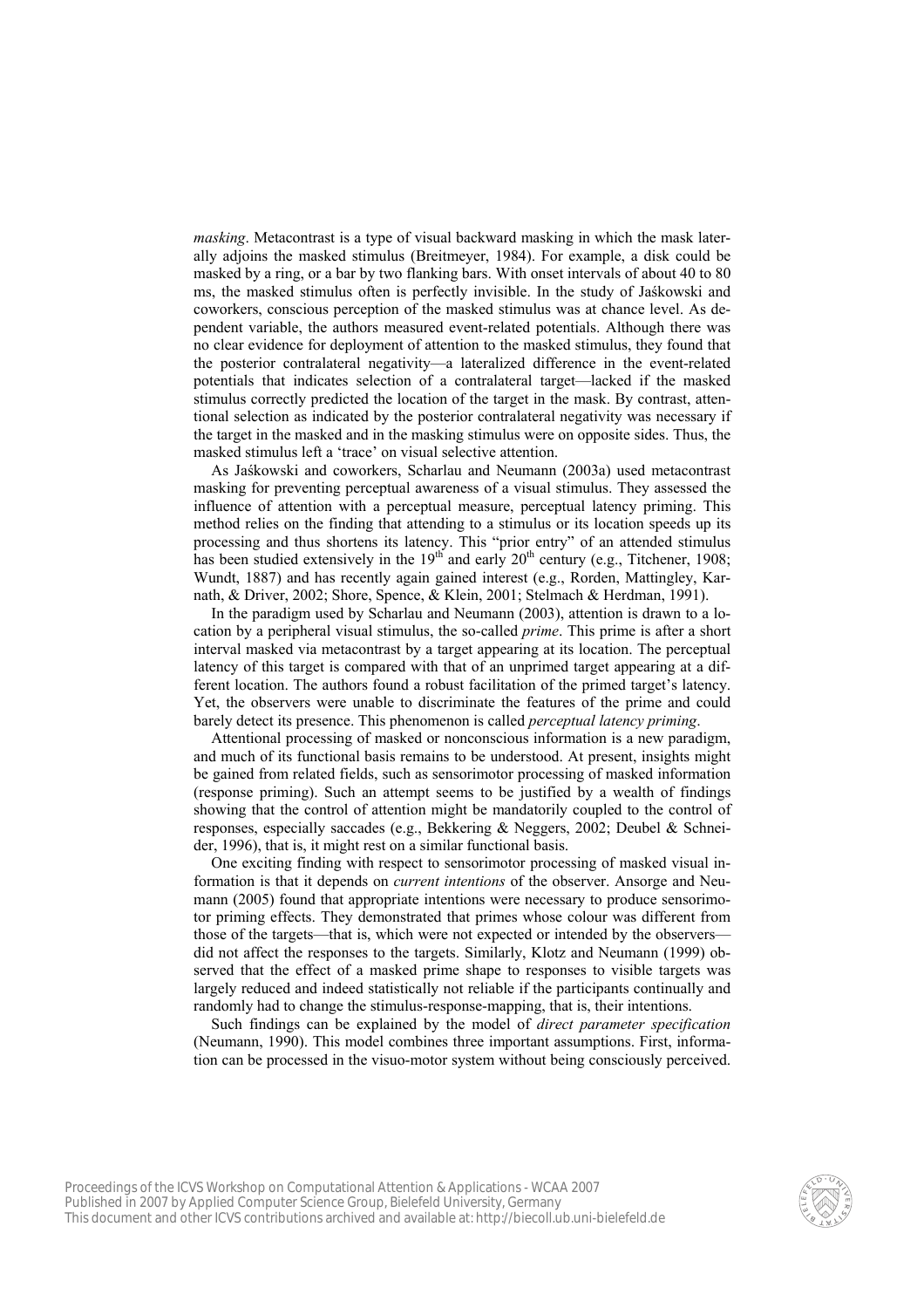*masking*. Metacontrast is a type of visual backward masking in which the mask laterally adjoins the masked stimulus (Breitmeyer, 1984). For example, a disk could be masked by a ring, or a bar by two flanking bars. With onset intervals of about 40 to 80 ms, the masked stimulus often is perfectly invisible. In the study of Jaśkowski and coworkers, conscious perception of the masked stimulus was at chance level. As dependent variable, the authors measured event-related potentials. Although there was no clear evidence for deployment of attention to the masked stimulus, they found that the posterior contralateral negativity—a lateralized difference in the event-related potentials that indicates selection of a contralateral target—lacked if the masked stimulus correctly predicted the location of the target in the mask. By contrast, attentional selection as indicated by the posterior contralateral negativity was necessary if the target in the masked and in the masking stimulus were on opposite sides. Thus, the masked stimulus left a 'trace' on visual selective attention.

As Jaśkowski and coworkers, Scharlau and Neumann (2003a) used metacontrast masking for preventing perceptual awareness of a visual stimulus. They assessed the influence of attention with a perceptual measure, perceptual latency priming. This method relies on the finding that attending to a stimulus or its location speeds up its processing and thus shortens its latency. This "prior entry" of an attended stimulus has been studied extensively in the  $19<sup>th</sup>$  and early  $20<sup>th</sup>$  century (e.g., Titchener, 1908; Wundt, 1887) and has recently again gained interest (e.g., Rorden, Mattingley, Karnath, & Driver, 2002; Shore, Spence, & Klein, 2001; Stelmach & Herdman, 1991).

In the paradigm used by Scharlau and Neumann (2003), attention is drawn to a location by a peripheral visual stimulus, the so-called *prime*. This prime is after a short interval masked via metacontrast by a target appearing at its location. The perceptual latency of this target is compared with that of an unprimed target appearing at a different location. The authors found a robust facilitation of the primed target's latency. Yet, the observers were unable to discriminate the features of the prime and could barely detect its presence. This phenomenon is called *perceptual latency priming*.

Attentional processing of masked or nonconscious information is a new paradigm, and much of its functional basis remains to be understood. At present, insights might be gained from related fields, such as sensorimotor processing of masked information (response priming). Such an attempt seems to be justified by a wealth of findings showing that the control of attention might be mandatorily coupled to the control of responses, especially saccades (e.g., Bekkering & Neggers, 2002; Deubel & Schneider, 1996), that is, it might rest on a similar functional basis.

One exciting finding with respect to sensorimotor processing of masked visual information is that it depends on *current intentions* of the observer. Ansorge and Neumann (2005) found that appropriate intentions were necessary to produce sensorimotor priming effects. They demonstrated that primes whose colour was different from those of the targets—that is, which were not expected or intended by the observers did not affect the responses to the targets. Similarly, Klotz and Neumann (1999) observed that the effect of a masked prime shape to responses to visible targets was largely reduced and indeed statistically not reliable if the participants continually and randomly had to change the stimulus-response-mapping, that is, their intentions.

Such findings can be explained by the model of *direct parameter specification* (Neumann, 1990). This model combines three important assumptions. First, information can be processed in the visuo-motor system without being consciously perceived.

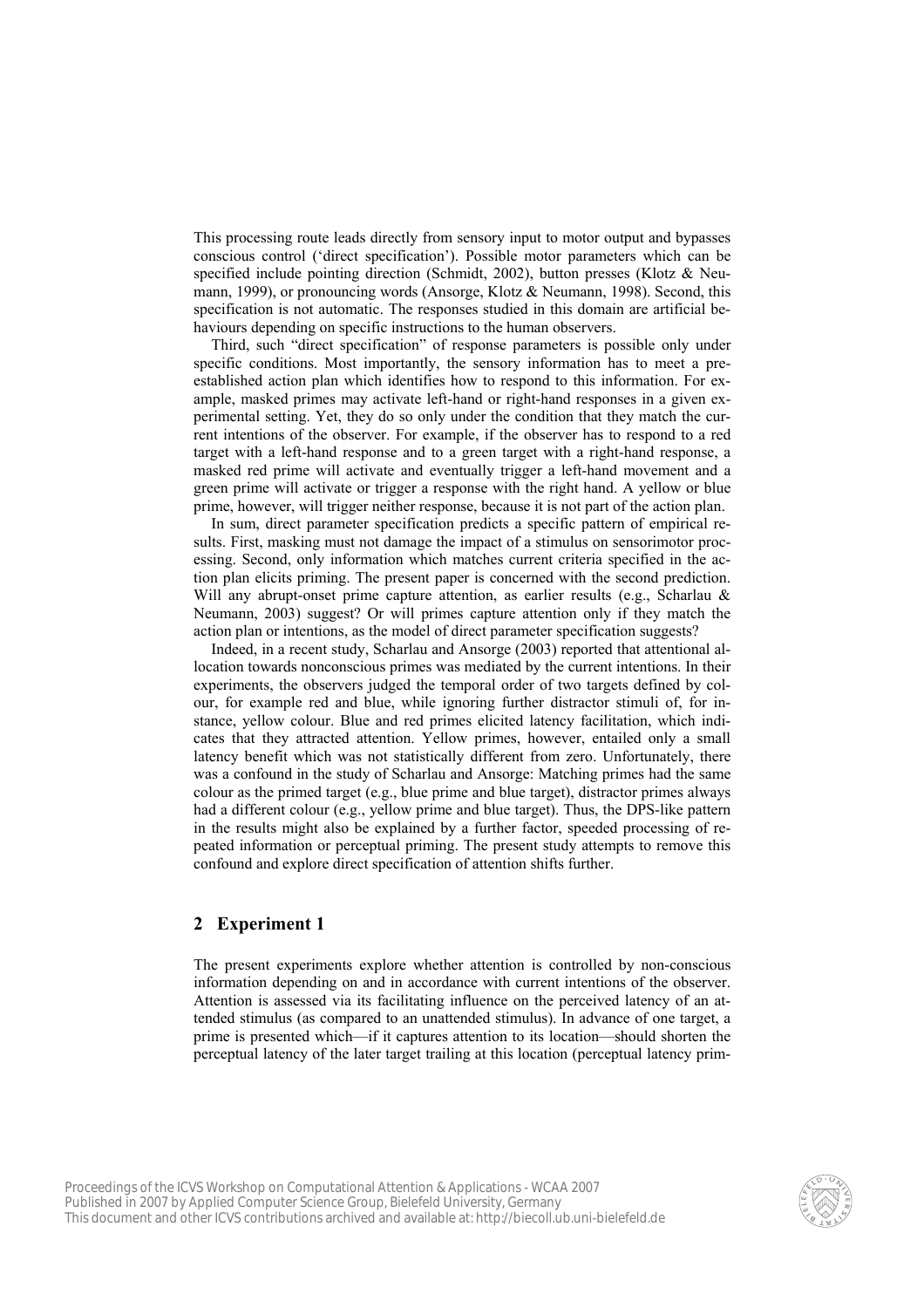This processing route leads directly from sensory input to motor output and bypasses conscious control ('direct specification'). Possible motor parameters which can be specified include pointing direction (Schmidt, 2002), button presses (Klotz  $\&$  Neumann, 1999), or pronouncing words (Ansorge, Klotz & Neumann, 1998). Second, this specification is not automatic. The responses studied in this domain are artificial behaviours depending on specific instructions to the human observers.

Third, such "direct specification" of response parameters is possible only under specific conditions. Most importantly, the sensory information has to meet a preestablished action plan which identifies how to respond to this information. For example, masked primes may activate left-hand or right-hand responses in a given experimental setting. Yet, they do so only under the condition that they match the current intentions of the observer. For example, if the observer has to respond to a red target with a left-hand response and to a green target with a right-hand response, a masked red prime will activate and eventually trigger a left-hand movement and a green prime will activate or trigger a response with the right hand. A yellow or blue prime, however, will trigger neither response, because it is not part of the action plan.

In sum, direct parameter specification predicts a specific pattern of empirical results. First, masking must not damage the impact of a stimulus on sensorimotor processing. Second, only information which matches current criteria specified in the action plan elicits priming. The present paper is concerned with the second prediction. Will any abrupt-onset prime capture attention, as earlier results (e.g., Scharlau & Neumann, 2003) suggest? Or will primes capture attention only if they match the action plan or intentions, as the model of direct parameter specification suggests?

Indeed, in a recent study, Scharlau and Ansorge (2003) reported that attentional allocation towards nonconscious primes was mediated by the current intentions. In their experiments, the observers judged the temporal order of two targets defined by colour, for example red and blue, while ignoring further distractor stimuli of, for instance, yellow colour. Blue and red primes elicited latency facilitation, which indicates that they attracted attention. Yellow primes, however, entailed only a small latency benefit which was not statistically different from zero. Unfortunately, there was a confound in the study of Scharlau and Ansorge: Matching primes had the same colour as the primed target (e.g., blue prime and blue target), distractor primes always had a different colour (e.g., yellow prime and blue target). Thus, the DPS-like pattern in the results might also be explained by a further factor, speeded processing of repeated information or perceptual priming. The present study attempts to remove this confound and explore direct specification of attention shifts further.

## **2 Experiment 1**

The present experiments explore whether attention is controlled by non-conscious information depending on and in accordance with current intentions of the observer. Attention is assessed via its facilitating influence on the perceived latency of an attended stimulus (as compared to an unattended stimulus). In advance of one target, a prime is presented which—if it captures attention to its location—should shorten the perceptual latency of the later target trailing at this location (perceptual latency prim-

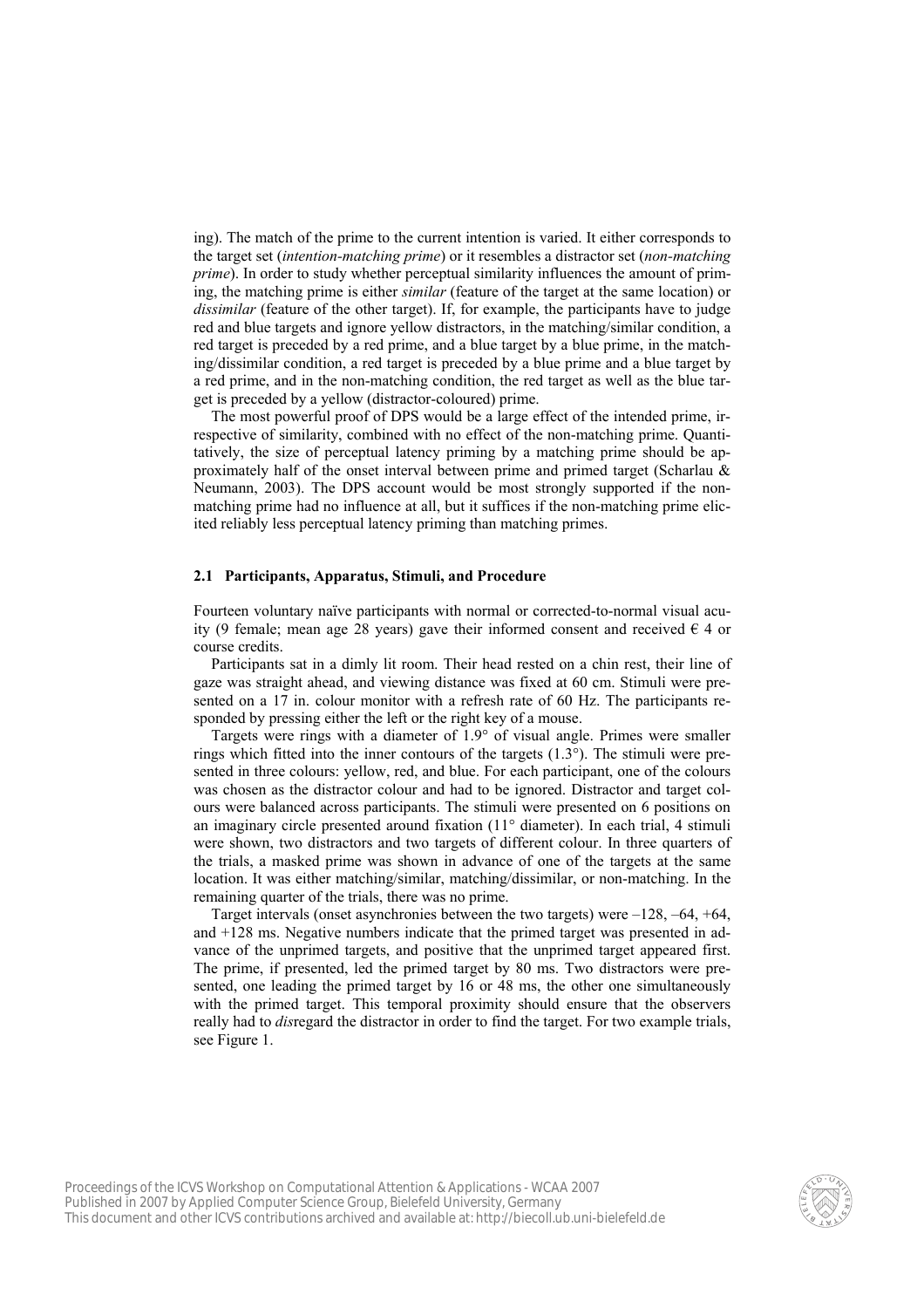ing). The match of the prime to the current intention is varied. It either corresponds to the target set (*intention-matching prime*) or it resembles a distractor set (*non-matching prime*). In order to study whether perceptual similarity influences the amount of priming, the matching prime is either *similar* (feature of the target at the same location) or *dissimilar* (feature of the other target). If, for example, the participants have to judge red and blue targets and ignore yellow distractors, in the matching/similar condition, a red target is preceded by a red prime, and a blue target by a blue prime, in the matching/dissimilar condition, a red target is preceded by a blue prime and a blue target by a red prime, and in the non-matching condition, the red target as well as the blue target is preceded by a yellow (distractor-coloured) prime.

The most powerful proof of DPS would be a large effect of the intended prime, irrespective of similarity, combined with no effect of the non-matching prime. Quantitatively, the size of perceptual latency priming by a matching prime should be approximately half of the onset interval between prime and primed target (Scharlau  $\&$ Neumann, 2003). The DPS account would be most strongly supported if the nonmatching prime had no influence at all, but it suffices if the non-matching prime elicited reliably less perceptual latency priming than matching primes.

### **2.1 Participants, Apparatus, Stimuli, and Procedure**

Fourteen voluntary naïve participants with normal or corrected-to-normal visual acuity (9 female; mean age 28 years) gave their informed consent and received  $\epsilon$  4 or course credits.

Participants sat in a dimly lit room. Their head rested on a chin rest, their line of gaze was straight ahead, and viewing distance was fixed at 60 cm. Stimuli were presented on a 17 in. colour monitor with a refresh rate of 60 Hz. The participants responded by pressing either the left or the right key of a mouse.

Targets were rings with a diameter of 1.9° of visual angle. Primes were smaller rings which fitted into the inner contours of the targets  $(1.3^{\circ})$ . The stimuli were presented in three colours: yellow, red, and blue. For each participant, one of the colours was chosen as the distractor colour and had to be ignored. Distractor and target colours were balanced across participants. The stimuli were presented on 6 positions on an imaginary circle presented around fixation (11° diameter). In each trial, 4 stimuli were shown, two distractors and two targets of different colour. In three quarters of the trials, a masked prime was shown in advance of one of the targets at the same location. It was either matching/similar, matching/dissimilar, or non-matching. In the remaining quarter of the trials, there was no prime.

Target intervals (onset asynchronies between the two targets) were  $-128$ ,  $-64$ ,  $+64$ , and +128 ms. Negative numbers indicate that the primed target was presented in advance of the unprimed targets, and positive that the unprimed target appeared first. The prime, if presented, led the primed target by 80 ms. Two distractors were presented, one leading the primed target by 16 or 48 ms, the other one simultaneously with the primed target. This temporal proximity should ensure that the observers really had to *dis*regard the distractor in order to find the target. For two example trials, see Figure 1.

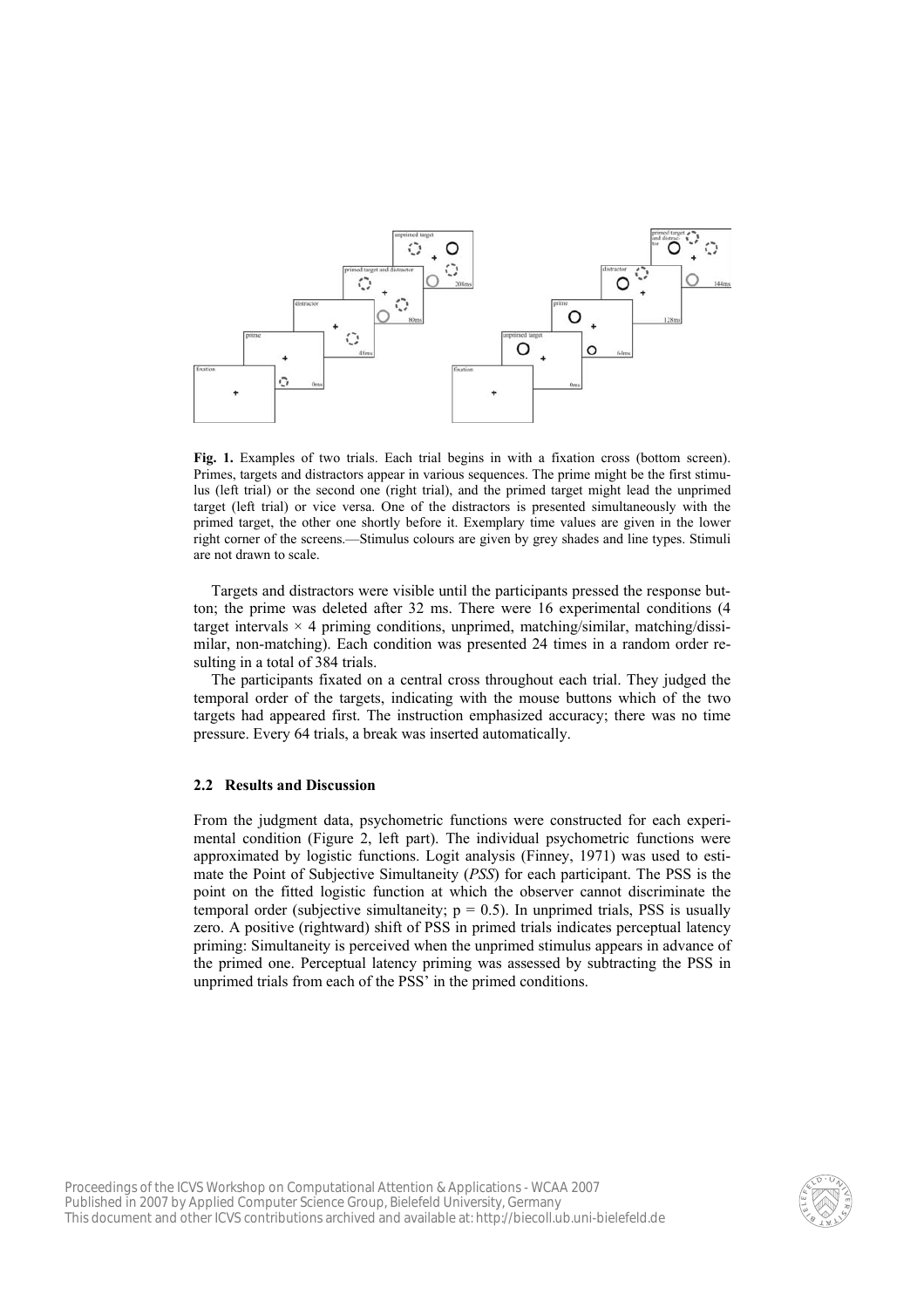

**Fig. 1.** Examples of two trials. Each trial begins in with a fixation cross (bottom screen). Primes, targets and distractors appear in various sequences. The prime might be the first stimulus (left trial) or the second one (right trial), and the primed target might lead the unprimed target (left trial) or vice versa. One of the distractors is presented simultaneously with the primed target, the other one shortly before it. Exemplary time values are given in the lower right corner of the screens.—Stimulus colours are given by grey shades and line types. Stimuli are not drawn to scale.

Targets and distractors were visible until the participants pressed the response button; the prime was deleted after 32 ms. There were 16 experimental conditions (4 target intervals  $\times$  4 priming conditions, unprimed, matching/similar, matching/dissimilar, non-matching). Each condition was presented 24 times in a random order resulting in a total of 384 trials.

The participants fixated on a central cross throughout each trial. They judged the temporal order of the targets, indicating with the mouse buttons which of the two targets had appeared first. The instruction emphasized accuracy; there was no time pressure. Every 64 trials, a break was inserted automatically.

#### **2.2 Results and Discussion**

From the judgment data, psychometric functions were constructed for each experimental condition (Figure 2, left part). The individual psychometric functions were approximated by logistic functions. Logit analysis (Finney, 1971) was used to estimate the Point of Subjective Simultaneity (*PSS*) for each participant. The PSS is the point on the fitted logistic function at which the observer cannot discriminate the temporal order (subjective simultaneity;  $p = 0.5$ ). In unprimed trials, PSS is usually zero. A positive (rightward) shift of PSS in primed trials indicates perceptual latency priming: Simultaneity is perceived when the unprimed stimulus appears in advance of the primed one. Perceptual latency priming was assessed by subtracting the PSS in unprimed trials from each of the PSS' in the primed conditions.

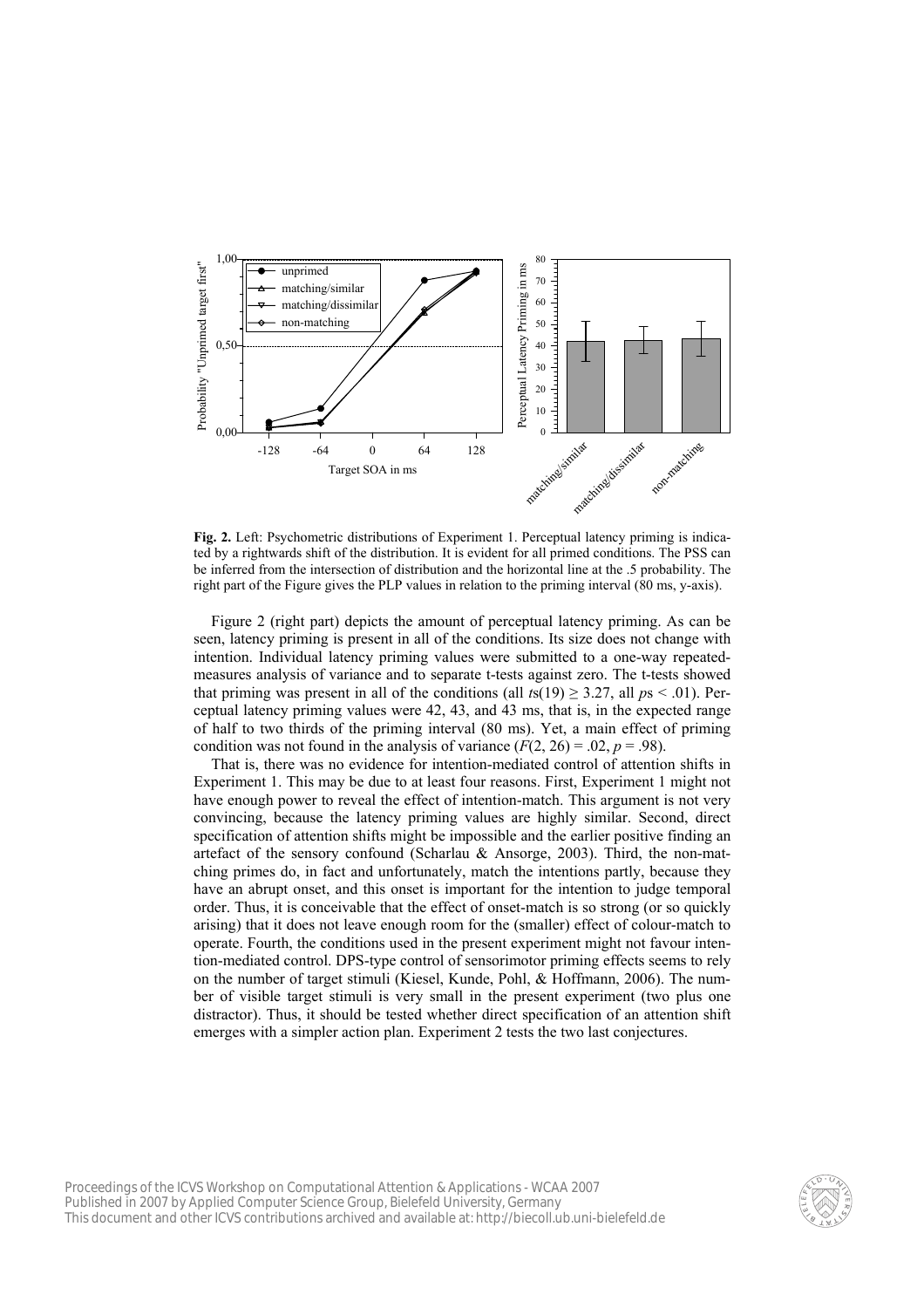

**Fig. 2.** Left: Psychometric distributions of Experiment 1. Perceptual latency priming is indicated by a rightwards shift of the distribution. It is evident for all primed conditions. The PSS can be inferred from the intersection of distribution and the horizontal line at the .5 probability. The right part of the Figure gives the PLP values in relation to the priming interval (80 ms, y-axis).

Figure 2 (right part) depicts the amount of perceptual latency priming. As can be seen, latency priming is present in all of the conditions. Its size does not change with intention. Individual latency priming values were submitted to a one-way repeatedmeasures analysis of variance and to separate t-tests against zero. The t-tests showed that priming was present in all of the conditions (all  $t s(19) \ge 3.27$ , all  $p s < .01$ ). Perceptual latency priming values were 42, 43, and 43 ms, that is, in the expected range of half to two thirds of the priming interval (80 ms). Yet, a main effect of priming condition was not found in the analysis of variance  $(F(2, 26) = .02, p = .98)$ .

That is, there was no evidence for intention-mediated control of attention shifts in Experiment 1. This may be due to at least four reasons. First, Experiment 1 might not have enough power to reveal the effect of intention-match. This argument is not very convincing, because the latency priming values are highly similar. Second, direct specification of attention shifts might be impossible and the earlier positive finding an artefact of the sensory confound (Scharlau & Ansorge, 2003). Third, the non-matching primes do, in fact and unfortunately, match the intentions partly, because they have an abrupt onset, and this onset is important for the intention to judge temporal order. Thus, it is conceivable that the effect of onset-match is so strong (or so quickly arising) that it does not leave enough room for the (smaller) effect of colour-match to operate. Fourth, the conditions used in the present experiment might not favour intention-mediated control. DPS-type control of sensorimotor priming effects seems to rely on the number of target stimuli (Kiesel, Kunde, Pohl, & Hoffmann, 2006). The number of visible target stimuli is very small in the present experiment (two plus one distractor). Thus, it should be tested whether direct specification of an attention shift emerges with a simpler action plan. Experiment 2 tests the two last conjectures.

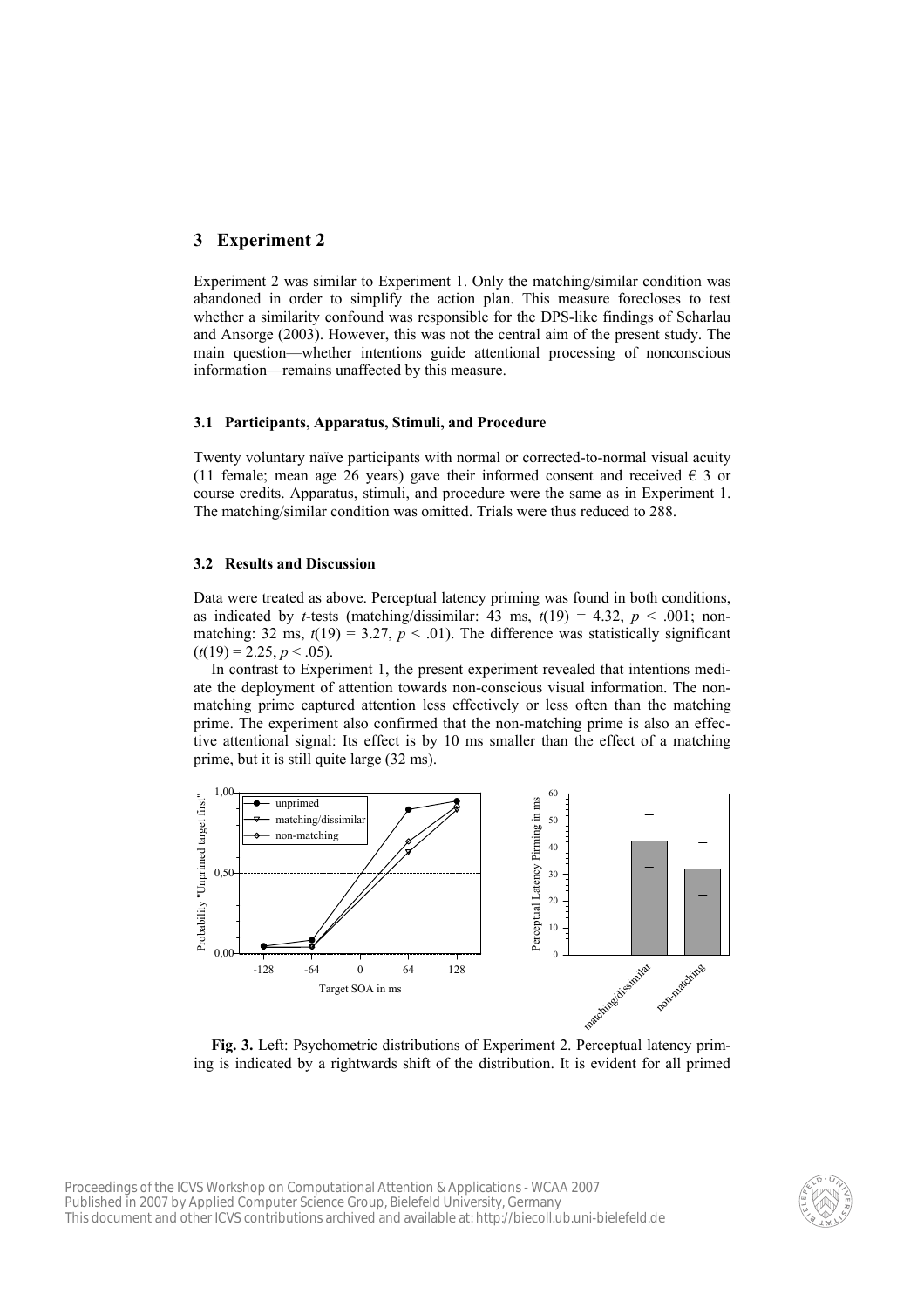# **3 Experiment 2**

Experiment 2 was similar to Experiment 1. Only the matching/similar condition was abandoned in order to simplify the action plan. This measure forecloses to test whether a similarity confound was responsible for the DPS-like findings of Scharlau and Ansorge (2003). However, this was not the central aim of the present study. The main question—whether intentions guide attentional processing of nonconscious information—remains unaffected by this measure.

### **3.1 Participants, Apparatus, Stimuli, and Procedure**

Twenty voluntary naïve participants with normal or corrected-to-normal visual acuity (11 female; mean age 26 years) gave their informed consent and received  $\epsilon$  3 or course credits. Apparatus, stimuli, and procedure were the same as in Experiment 1. The matching/similar condition was omitted. Trials were thus reduced to 288.

### **3.2 Results and Discussion**

Data were treated as above. Perceptual latency priming was found in both conditions, as indicated by *t*-tests (matching/dissimilar: 43 ms,  $t(19) = 4.32$ ,  $p < .001$ ; nonmatching: 32 ms,  $t(19) = 3.27$ ,  $p < .01$ ). The difference was statistically significant  $(t(19) = 2.25, p < .05)$ .

In contrast to Experiment 1, the present experiment revealed that intentions mediate the deployment of attention towards non-conscious visual information. The nonmatching prime captured attention less effectively or less often than the matching prime. The experiment also confirmed that the non-matching prime is also an effective attentional signal: Its effect is by 10 ms smaller than the effect of a matching prime, but it is still quite large (32 ms).



**Fig. 3.** Left: Psychometric distributions of Experiment 2. Perceptual latency priming is indicated by a rightwards shift of the distribution. It is evident for all primed

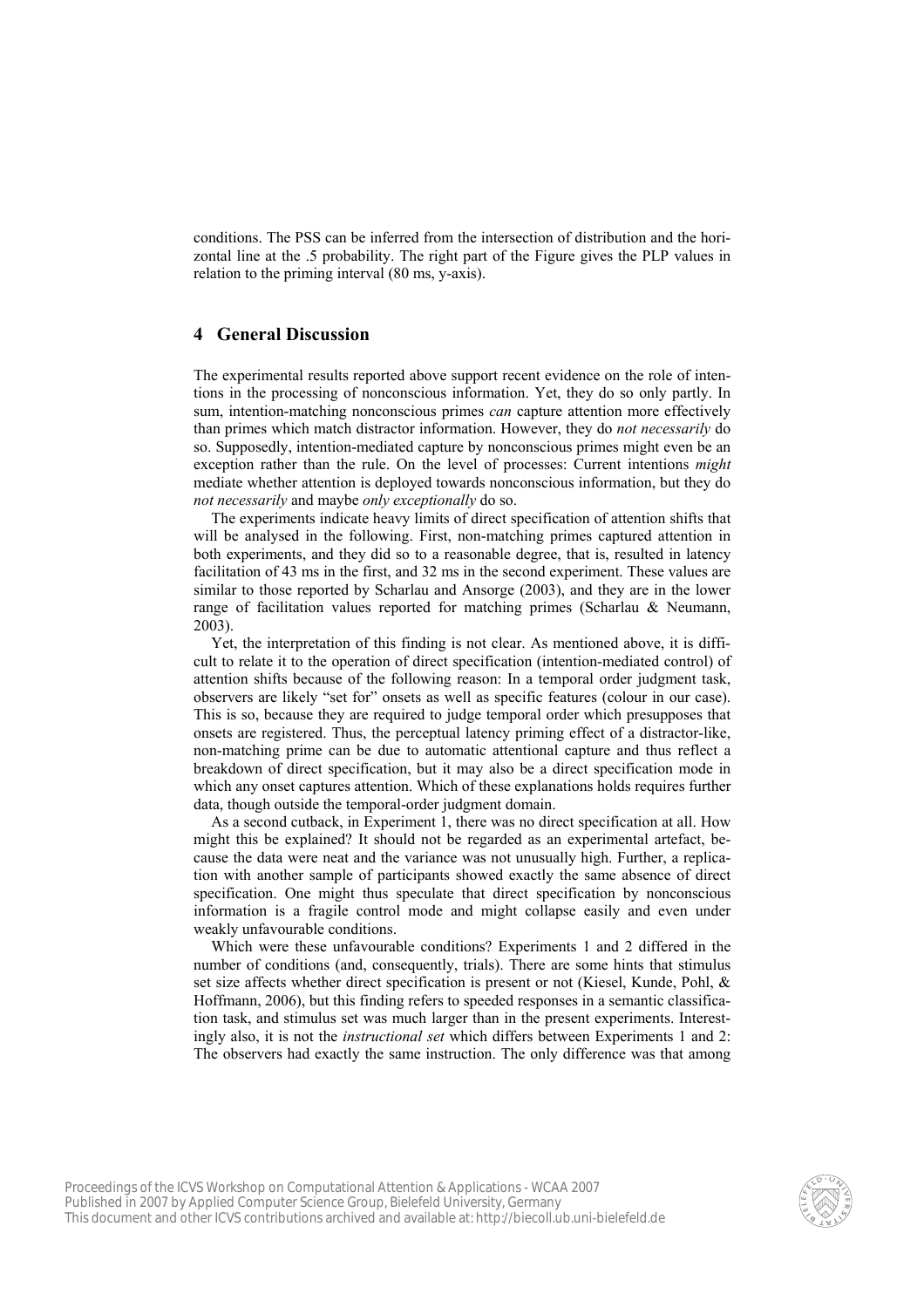conditions. The PSS can be inferred from the intersection of distribution and the horizontal line at the .5 probability. The right part of the Figure gives the PLP values in relation to the priming interval (80 ms, y-axis).

# **4 General Discussion**

The experimental results reported above support recent evidence on the role of intentions in the processing of nonconscious information. Yet, they do so only partly. In sum, intention-matching nonconscious primes *can* capture attention more effectively than primes which match distractor information. However, they do *not necessarily* do so. Supposedly, intention-mediated capture by nonconscious primes might even be an exception rather than the rule. On the level of processes: Current intentions *might* mediate whether attention is deployed towards nonconscious information, but they do *not necessarily* and maybe *only exceptionally* do so.

The experiments indicate heavy limits of direct specification of attention shifts that will be analysed in the following. First, non-matching primes captured attention in both experiments, and they did so to a reasonable degree, that is, resulted in latency facilitation of 43 ms in the first, and 32 ms in the second experiment. These values are similar to those reported by Scharlau and Ansorge (2003), and they are in the lower range of facilitation values reported for matching primes (Scharlau & Neumann, 2003).

Yet, the interpretation of this finding is not clear. As mentioned above, it is difficult to relate it to the operation of direct specification (intention-mediated control) of attention shifts because of the following reason: In a temporal order judgment task, observers are likely "set for" onsets as well as specific features (colour in our case). This is so, because they are required to judge temporal order which presupposes that onsets are registered. Thus, the perceptual latency priming effect of a distractor-like, non-matching prime can be due to automatic attentional capture and thus reflect a breakdown of direct specification, but it may also be a direct specification mode in which any onset captures attention. Which of these explanations holds requires further data, though outside the temporal-order judgment domain.

As a second cutback, in Experiment 1, there was no direct specification at all. How might this be explained? It should not be regarded as an experimental artefact, because the data were neat and the variance was not unusually high. Further, a replication with another sample of participants showed exactly the same absence of direct specification. One might thus speculate that direct specification by nonconscious information is a fragile control mode and might collapse easily and even under weakly unfavourable conditions.

Which were these unfavourable conditions? Experiments 1 and 2 differed in the number of conditions (and, consequently, trials). There are some hints that stimulus set size affects whether direct specification is present or not (Kiesel, Kunde, Pohl, & Hoffmann, 2006), but this finding refers to speeded responses in a semantic classification task, and stimulus set was much larger than in the present experiments. Interestingly also, it is not the *instructional set* which differs between Experiments 1 and 2: The observers had exactly the same instruction. The only difference was that among

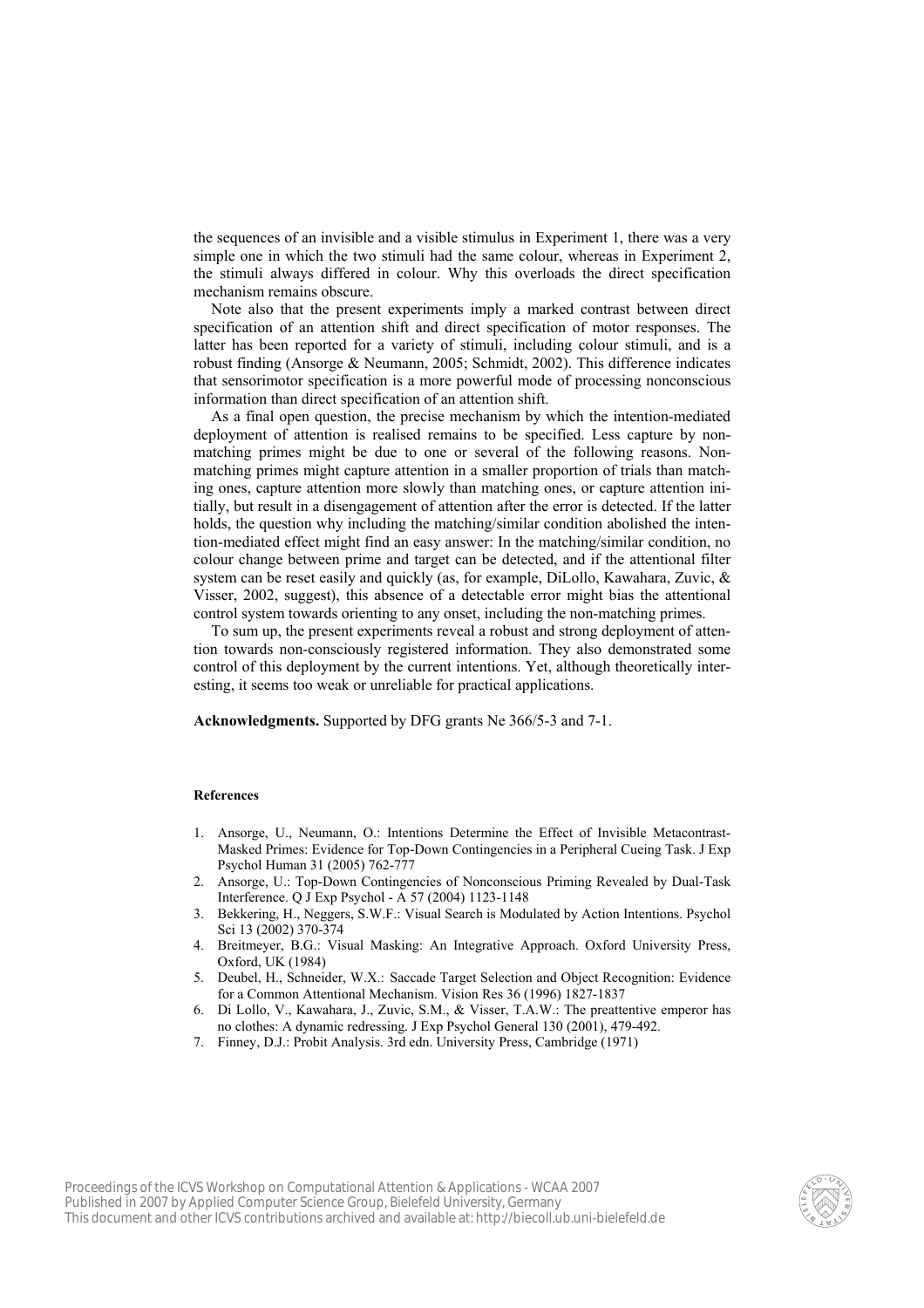the sequences of an invisible and a visible stimulus in Experiment 1, there was a very simple one in which the two stimuli had the same colour, whereas in Experiment 2, the stimuli always differed in colour. Why this overloads the direct specification mechanism remains obscure.

Note also that the present experiments imply a marked contrast between direct specification of an attention shift and direct specification of motor responses. The latter has been reported for a variety of stimuli, including colour stimuli, and is a robust finding (Ansorge & Neumann, 2005; Schmidt, 2002). This difference indicates that sensorimotor specification is a more powerful mode of processing nonconscious information than direct specification of an attention shift.

As a final open question, the precise mechanism by which the intention-mediated deployment of attention is realised remains to be specified. Less capture by nonmatching primes might be due to one or several of the following reasons. Nonmatching primes might capture attention in a smaller proportion of trials than matching ones, capture attention more slowly than matching ones, or capture attention initially, but result in a disengagement of attention after the error is detected. If the latter holds, the question why including the matching/similar condition abolished the intention-mediated effect might find an easy answer: In the matching/similar condition, no colour change between prime and target can be detected, and if the attentional filter system can be reset easily and quickly (as, for example, DiLollo, Kawahara, Zuvic, & Visser, 2002, suggest), this absence of a detectable error might bias the attentional control system towards orienting to any onset, including the non-matching primes.

To sum up, the present experiments reveal a robust and strong deployment of attention towards non-consciously registered information. They also demonstrated some control of this deployment by the current intentions. Yet, although theoretically interesting, it seems too weak or unreliable for practical applications.

**Acknowledgments.** Supported by DFG grants Ne 366/5-3 and 7-1.

#### **References**

- 1. Ansorge, U., Neumann, O.: Intentions Determine the Effect of Invisible Metacontrast-Masked Primes: Evidence for Top-Down Contingencies in a Peripheral Cueing Task. J Exp Psychol Human 31 (2005) 762-777
- 2. Ansorge, U.: Top-Down Contingencies of Nonconscious Priming Revealed by Dual-Task Interference. Q J Exp Psychol - A 57 (2004) 1123-1148
- 3. Bekkering, H., Neggers, S.W.F.: Visual Search is Modulated by Action Intentions. Psychol Sci 13 (2002) 370-374
- 4. Breitmeyer, B.G.: Visual Masking: An Integrative Approach. Oxford University Press, Oxford, UK (1984)
- 5. Deubel, H., Schneider, W.X.: Saccade Target Selection and Object Recognition: Evidence for a Common Attentional Mechanism. Vision Res 36 (1996) 1827-1837
- 6. Di Lollo, V., Kawahara, J., Zuvic, S.M., & Visser, T.A.W.: The preattentive emperor has no clothes: A dynamic redressing. J Exp Psychol General 130 (2001), 479-492.
- 7. Finney, D.J.: Probit Analysis. 3rd edn. University Press, Cambridge (1971)